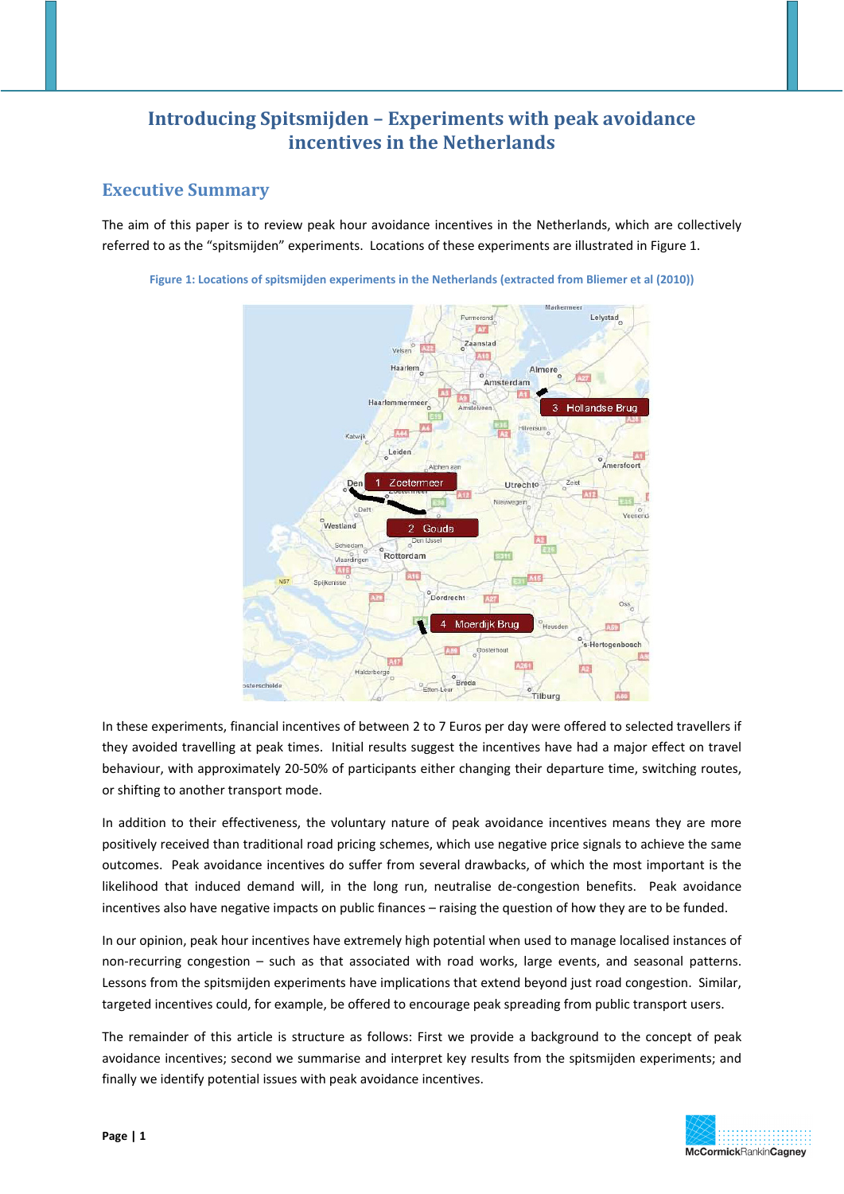# **Introducing Spitsmijden – Experiments with peak avoidance incentives in the Netherlands**

# **Executive Summary**

The aim of this paper is to review peak hour avoidance incentives in the Netherlands, which are collectively referred to as the "spitsmijden" experiments. Locations of these experiments are illustrated in Figure 1.



**Figure 1: Locations of spitsmijden experiments in the Netherlands (extracted from Bliemer et al (2010))**

In these experiments, financial incentives of between 2 to 7 Euros per day were offered to selected travellers if they avoided travelling at peak times. Initial results suggest the incentives have had a major effect on travel behaviour, with approximately 20‐50% of participants either changing their departure time, switching routes, or shifting to another transport mode.

In addition to their effectiveness, the voluntary nature of peak avoidance incentives means they are more positively received than traditional road pricing schemes, which use negative price signals to achieve the same outcomes. Peak avoidance incentives do suffer from several drawbacks, of which the most important is the likelihood that induced demand will, in the long run, neutralise de-congestion benefits. Peak avoidance incentives also have negative impacts on public finances – raising the question of how they are to be funded.

In our opinion, peak hour incentives have extremely high potential when used to manage localised instances of non‐recurring congestion – such as that associated with road works, large events, and seasonal patterns. Lessons from the spitsmijden experiments have implications that extend beyond just road congestion. Similar, targeted incentives could, for example, be offered to encourage peak spreading from public transport users.

The remainder of this article is structure as follows: First we provide a background to the concept of peak avoidance incentives; second we summarise and interpret key results from the spitsmijden experiments; and finally we identify potential issues with peak avoidance incentives.

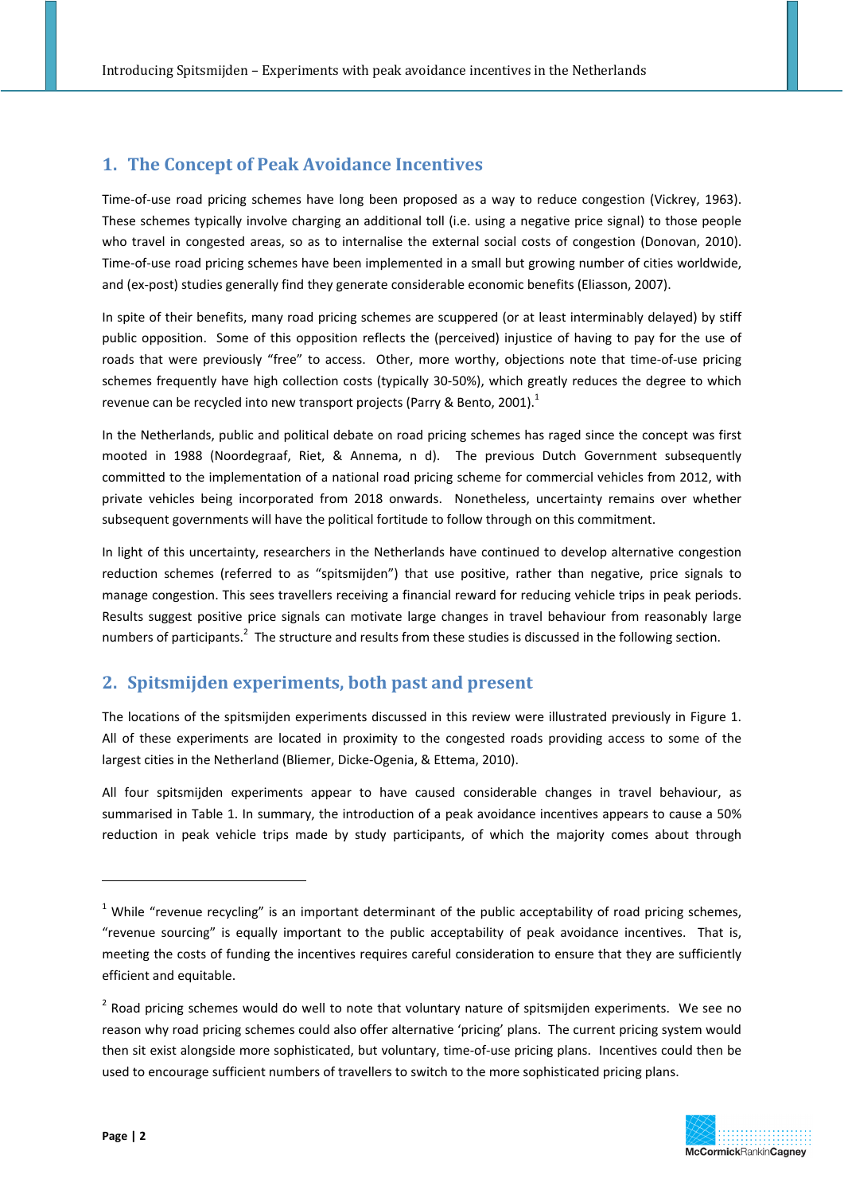# **1. The Concept of Peak Avoidance Incentives**

Time-of-use road pricing schemes have long been proposed as a way to reduce congestion (Vickrey, 1963). These schemes typically involve charging an additional toll (i.e. using a negative price signal) to those people who travel in congested areas, so as to internalise the external social costs of congestion (Donovan, 2010). Time-of-use road pricing schemes have been implemented in a small but growing number of cities worldwide, and (ex-post) studies generally find they generate considerable economic benefits (Eliasson, 2007).

In spite of their benefits, many road pricing schemes are scuppered (or at least interminably delayed) by stiff public opposition. Some of this opposition reflects the (perceived) injustice of having to pay for the use of roads that were previously "free" to access. Other, more worthy, objections note that time-of-use pricing schemes frequently have high collection costs (typically 30-50%), which greatly reduces the degree to which revenue can be recycled into new transport projects (Parry & Bento, 2001).<sup>1</sup>

In the Netherlands, public and political debate on road pricing schemes has raged since the concept was first mooted in 1988 (Noordegraaf, Riet, & Annema, n d). The previous Dutch Government subsequently committed to the implementation of a national road pricing scheme for commercial vehicles from 2012, with private vehicles being incorporated from 2018 onwards. Nonetheless, uncertainty remains over whether subsequent governments will have the political fortitude to follow through on this commitment.

In light of this uncertainty, researchers in the Netherlands have continued to develop alternative congestion reduction schemes (referred to as "spitsmijden") that use positive, rather than negative, price signals to manage congestion. This sees travellers receiving a financial reward for reducing vehicle trips in peak periods. Results suggest positive price signals can motivate large changes in travel behaviour from reasonably large numbers of participants.<sup>2</sup> The structure and results from these studies is discussed in the following section.

#### **2. Spitsmijden experiments, both past and present**

The locations of the spitsmijden experiments discussed in this review were illustrated previously in Figure 1. All of these experiments are located in proximity to the congested roads providing access to some of the largest cities in the Netherland (Bliemer, Dicke‐Ogenia, & Ettema, 2010).

All four spitsmijden experiments appear to have caused considerable changes in travel behaviour, as summarised in Table 1. In summary, the introduction of a peak avoidance incentives appears to cause a 50% reduction in peak vehicle trips made by study participants, of which the majority comes about through

 $2$  Road pricing schemes would do well to note that voluntary nature of spitsmijden experiments. We see no reason why road pricing schemes could also offer alternative 'pricing' plans. The current pricing system would then sit exist alongside more sophisticated, but voluntary, time‐of‐use pricing plans. Incentives could then be used to encourage sufficient numbers of travellers to switch to the more sophisticated pricing plans.



<u> Andrew Maria (1989)</u>

<sup>&</sup>lt;sup>1</sup> While "revenue recycling" is an important determinant of the public acceptability of road pricing schemes, "revenue sourcing" is equally important to the public acceptability of peak avoidance incentives. That is, meeting the costs of funding the incentives requires careful consideration to ensure that they are sufficiently efficient and equitable.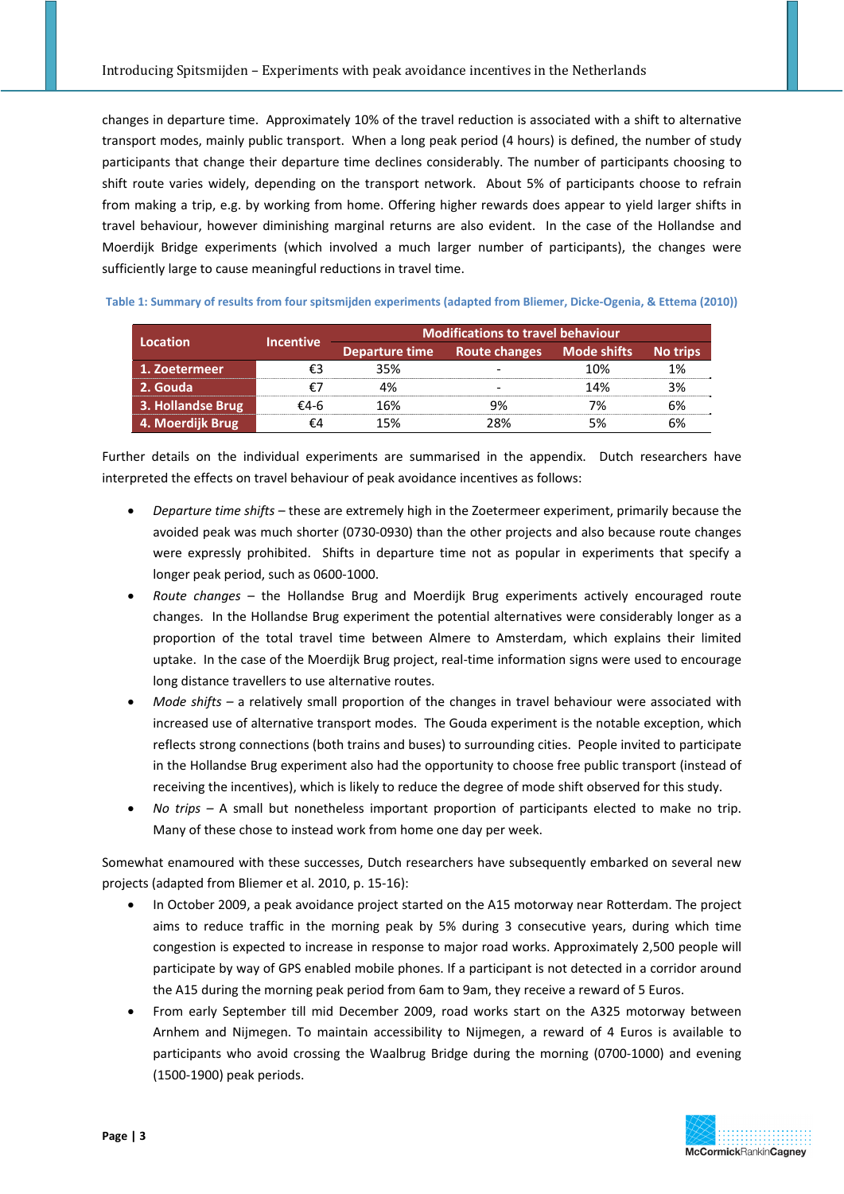changes in departure time. Approximately 10% of the travel reduction is associated with a shift to alternative transport modes, mainly public transport. When a long peak period (4 hours) is defined, the number of study participants that change their departure time declines considerably. The number of participants choosing to shift route varies widely, depending on the transport network. About 5% of participants choose to refrain from making a trip, e.g. by working from home. Offering higher rewards does appear to yield larger shifts in travel behaviour, however diminishing marginal returns are also evident. In the case of the Hollandse and Moerdijk Bridge experiments (which involved a much larger number of participants), the changes were sufficiently large to cause meaningful reductions in travel time.

| Location          | <b>Incentive</b> | <b>Modifications to travel behaviour</b> |                                          |     |  |
|-------------------|------------------|------------------------------------------|------------------------------------------|-----|--|
|                   |                  |                                          | Departure time Route changes Mode shifts |     |  |
| 1. Zoetermeer     |                  | 35%                                      |                                          | 1በ% |  |
| 2. Gouda          |                  |                                          |                                          | 14% |  |
| 3. Hollandse Brug | £4-հ             | । ፍ%                                     |                                          |     |  |
| 4. Moerdijk Brug  |                  |                                          |                                          |     |  |

Table 1: Summary of results from four spitsmijden experiments (adapted from Bliemer, Dicke-Ogenia, & Ettema (2010))

Further details on the individual experiments are summarised in the appendix. Dutch researchers have interpreted the effects on travel behaviour of peak avoidance incentives as follows:

- *Departure time shifts* these are extremely high in the Zoetermeer experiment, primarily because the avoided peak was much shorter (0730‐0930) than the other projects and also because route changes were expressly prohibited. Shifts in departure time not as popular in experiments that specify a longer peak period, such as 0600‐1000.
- *Route changes* the Hollandse Brug and Moerdijk Brug experiments actively encouraged route changes. In the Hollandse Brug experiment the potential alternatives were considerably longer as a proportion of the total travel time between Almere to Amsterdam, which explains their limited uptake. In the case of the Moerdijk Brug project, real-time information signs were used to encourage long distance travellers to use alternative routes.
- *Mode shifts –* a relatively small proportion of the changes in travel behaviour were associated with increased use of alternative transport modes. The Gouda experiment is the notable exception, which reflects strong connections (both trains and buses) to surrounding cities. People invited to participate in the Hollandse Brug experiment also had the opportunity to choose free public transport (instead of receiving the incentives), which is likely to reduce the degree of mode shift observed for this study.
- *No trips –* A small but nonetheless important proportion of participants elected to make no trip. Many of these chose to instead work from home one day per week.

Somewhat enamoured with these successes, Dutch researchers have subsequently embarked on several new projects (adapted from Bliemer et al. 2010, p. 15‐16):

- In October 2009, a peak avoidance project started on the A15 motorway near Rotterdam. The project aims to reduce traffic in the morning peak by 5% during 3 consecutive years, during which time congestion is expected to increase in response to major road works. Approximately 2,500 people will participate by way of GPS enabled mobile phones. If a participant is not detected in a corridor around the A15 during the morning peak period from 6am to 9am, they receive a reward of 5 Euros.
- From early September till mid December 2009, road works start on the A325 motorway between Arnhem and Nijmegen. To maintain accessibility to Nijmegen, a reward of 4 Euros is available to participants who avoid crossing the Waalbrug Bridge during the morning (0700‐1000) and evening (1500‐1900) peak periods.

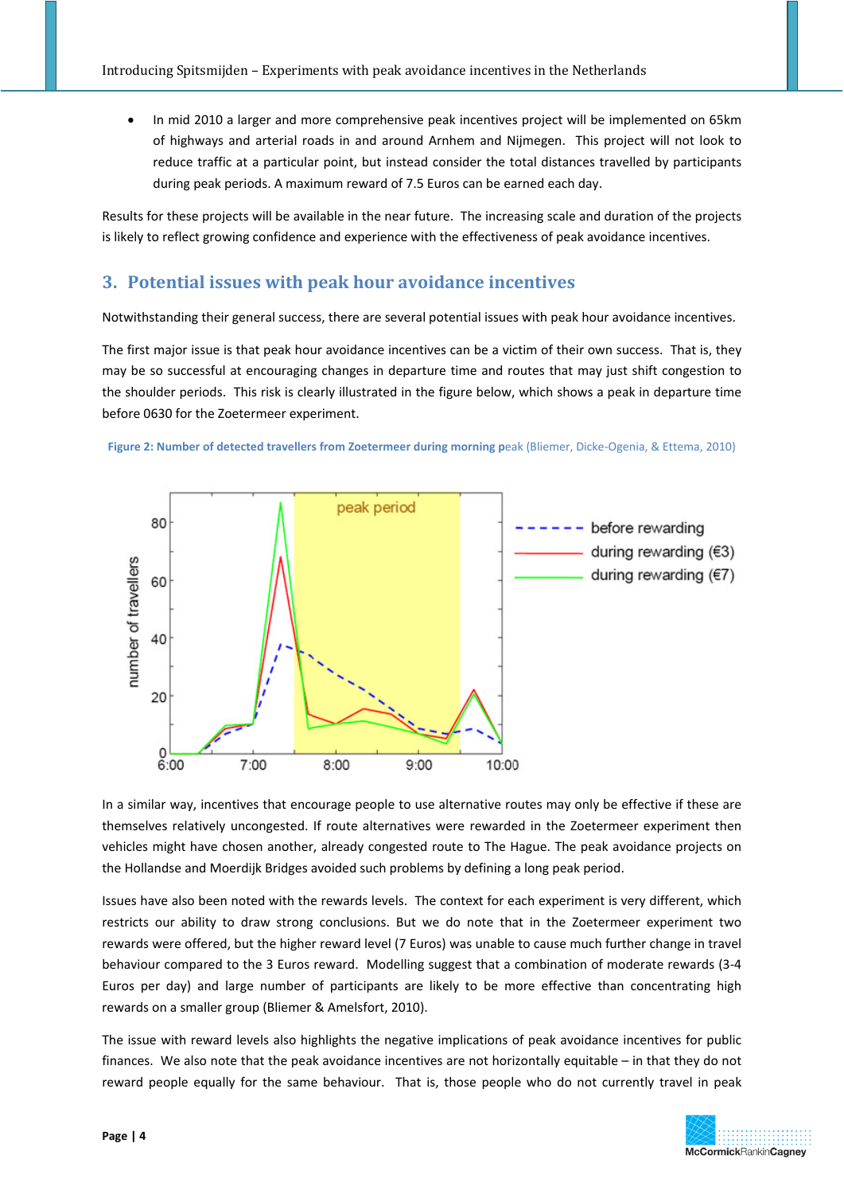• In mid 2010 a larger and more comprehensive peak incentives project will be implemented on 65km of highways and arterial roads in and around Arnhem and Nijmegen. This project will not look to reduce traffic at a particular point, but instead consider the total distances travelled by participants during peak periods. A maximum reward of 7.5 Euros can be earned each day.

Results for these projects will be available in the near future. The increasing scale and duration of the projects is likely to reflect growing confidence and experience with the effectiveness of peak avoidance incentives.

## **3. Potential issues with peak hour avoidance incentives**

Notwithstanding their general success, there are several potential issues with peak hour avoidance incentives.

The first major issue is that peak hour avoidance incentives can be a victim of their own success. That is, they may be so successful at encouraging changes in departure time and routes that may just shift congestion to the shoulder periods. This risk is clearly illustrated in the figure below, which shows a peak in departure time before 0630 for the Zoetermeer experiment.





In a similar way, incentives that encourage people to use alternative routes may only be effective if these are themselves relatively uncongested. If route alternatives were rewarded in the Zoetermeer experiment then vehicles might have chosen another, already congested route to The Hague. The peak avoidance projects on the Hollandse and Moerdijk Bridges avoided such problems by defining a long peak period.

Issues have also been noted with the rewards levels. The context for each experiment is very different, which restricts our ability to draw strong conclusions. But we do note that in the Zoetermeer experiment two rewards were offered, but the higher reward level (7 Euros) was unable to cause much further change in travel behaviour compared to the 3 Euros reward. Modelling suggest that a combination of moderate rewards (3‐4 Euros per day) and large number of participants are likely to be more effective than concentrating high rewards on a smaller group (Bliemer & Amelsfort, 2010).

The issue with reward levels also highlights the negative implications of peak avoidance incentives for public finances. We also note that the peak avoidance incentives are not horizontally equitable – in that they do not reward people equally for the same behaviour. That is, those people who do not currently travel in peak

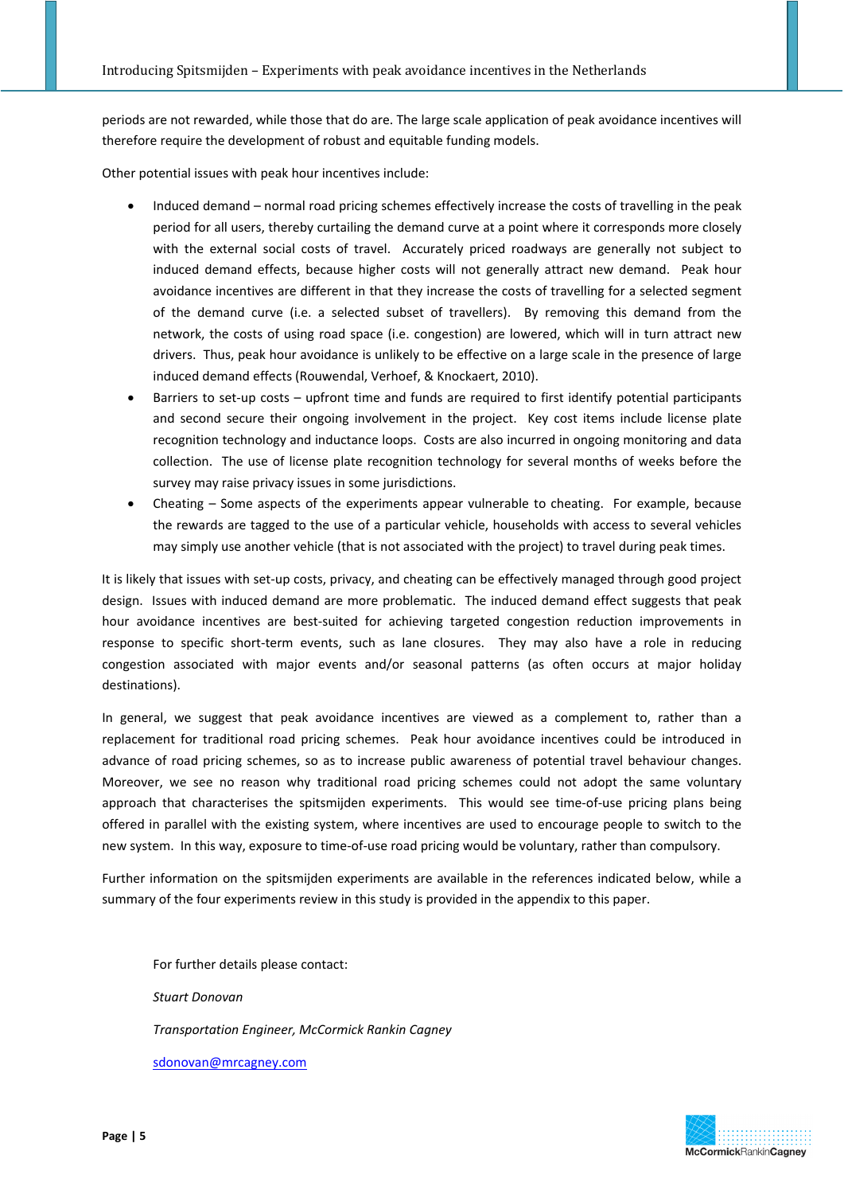periods are not rewarded, while those that do are. The large scale application of peak avoidance incentives will therefore require the development of robust and equitable funding models.

Other potential issues with peak hour incentives include:

- Induced demand normal road pricing schemes effectively increase the costs of travelling in the peak period for all users, thereby curtailing the demand curve at a point where it corresponds more closely with the external social costs of travel. Accurately priced roadways are generally not subject to induced demand effects, because higher costs will not generally attract new demand. Peak hour avoidance incentives are different in that they increase the costs of travelling for a selected segment of the demand curve (i.e. a selected subset of travellers). By removing this demand from the network, the costs of using road space (i.e. congestion) are lowered, which will in turn attract new drivers. Thus, peak hour avoidance is unlikely to be effective on a large scale in the presence of large induced demand effects (Rouwendal, Verhoef, & Knockaert, 2010).
- Barriers to set-up costs upfront time and funds are required to first identify potential participants and second secure their ongoing involvement in the project. Key cost items include license plate recognition technology and inductance loops. Costs are also incurred in ongoing monitoring and data collection. The use of license plate recognition technology for several months of weeks before the survey may raise privacy issues in some jurisdictions.
- Cheating Some aspects of the experiments appear vulnerable to cheating. For example, because the rewards are tagged to the use of a particular vehicle, households with access to several vehicles may simply use another vehicle (that is not associated with the project) to travel during peak times.

It is likely that issues with set‐up costs, privacy, and cheating can be effectively managed through good project design. Issues with induced demand are more problematic. The induced demand effect suggests that peak hour avoidance incentives are best-suited for achieving targeted congestion reduction improvements in response to specific short-term events, such as lane closures. They may also have a role in reducing congestion associated with major events and/or seasonal patterns (as often occurs at major holiday destinations).

In general, we suggest that peak avoidance incentives are viewed as a complement to, rather than a replacement for traditional road pricing schemes. Peak hour avoidance incentives could be introduced in advance of road pricing schemes, so as to increase public awareness of potential travel behaviour changes. Moreover, we see no reason why traditional road pricing schemes could not adopt the same voluntary approach that characterises the spitsmijden experiments. This would see time-of-use pricing plans being offered in parallel with the existing system, where incentives are used to encourage people to switch to the new system. In this way, exposure to time‐of‐use road pricing would be voluntary, rather than compulsory.

Further information on the spitsmijden experiments are available in the references indicated below, while a summary of the four experiments review in this study is provided in the appendix to this paper.

For further details please contact: *Stuart Donovan Transportation Engineer, McCormick Rankin Cagney* sdonovan@mrcagney.com

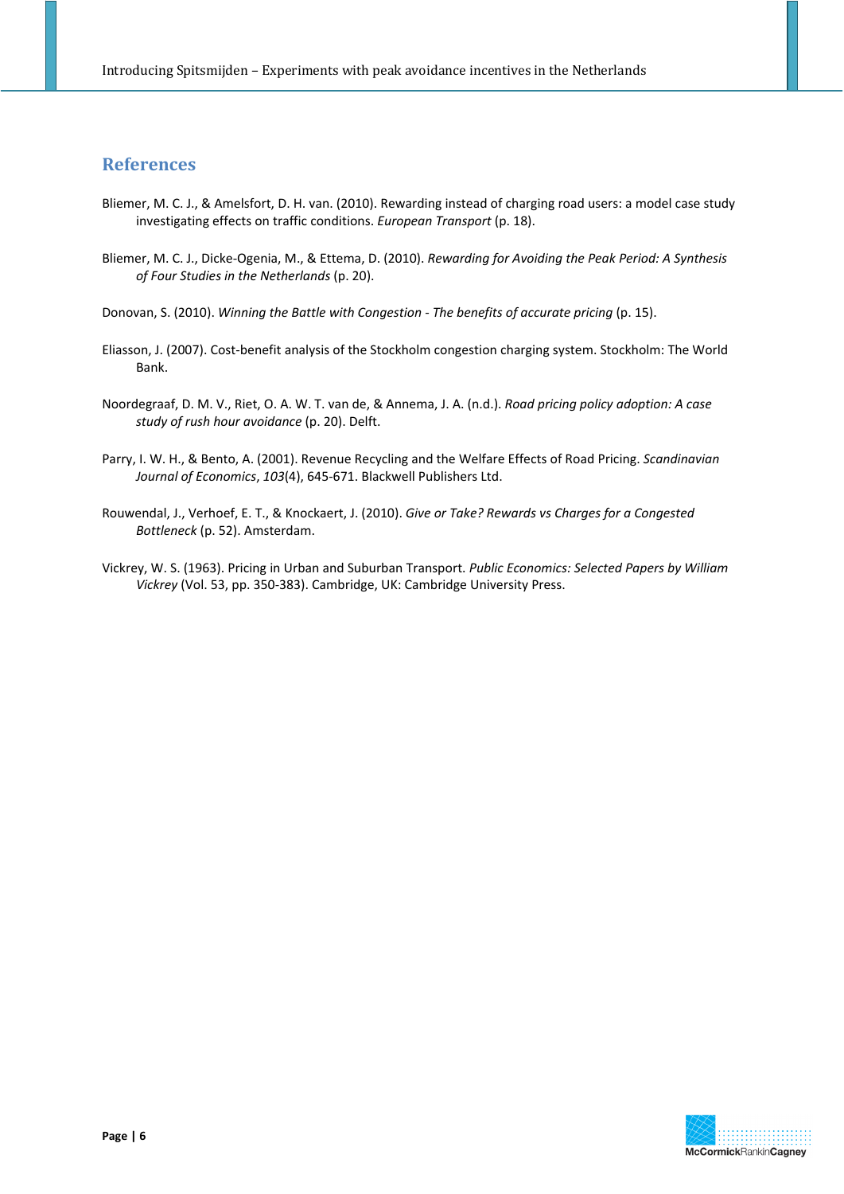## **References**

- Bliemer, M. C. J., & Amelsfort, D. H. van. (2010). Rewarding instead of charging road users: a model case study investigating effects on traffic conditions. *European Transport* (p. 18).
- Bliemer, M. C. J., Dicke‐Ogenia, M., & Ettema, D. (2010). *Rewarding for Avoiding the Peak Period: A Synthesis of Four Studies in the Netherlands* (p. 20).
- Donovan, S. (2010). *Winning the Battle with Congestion ‐ The benefits of accurate pricing* (p. 15).
- Eliasson, J. (2007). Cost‐benefit analysis of the Stockholm congestion charging system. Stockholm: The World Bank.
- Noordegraaf, D. M. V., Riet, O. A. W. T. van de, & Annema, J. A. (n.d.). *Road pricing policy adoption: A case study of rush hour avoidance* (p. 20). Delft.
- Parry, I. W. H., & Bento, A. (2001). Revenue Recycling and the Welfare Effects of Road Pricing. *Scandinavian Journal of Economics*, *103*(4), 645‐671. Blackwell Publishers Ltd.
- Rouwendal, J., Verhoef, E. T., & Knockaert, J. (2010). *Give or Take? Rewards vs Charges for a Congested Bottleneck* (p. 52). Amsterdam.
- Vickrey, W. S. (1963). Pricing in Urban and Suburban Transport. *Public Economics: Selected Papers by William Vickrey* (Vol. 53, pp. 350‐383). Cambridge, UK: Cambridge University Press.